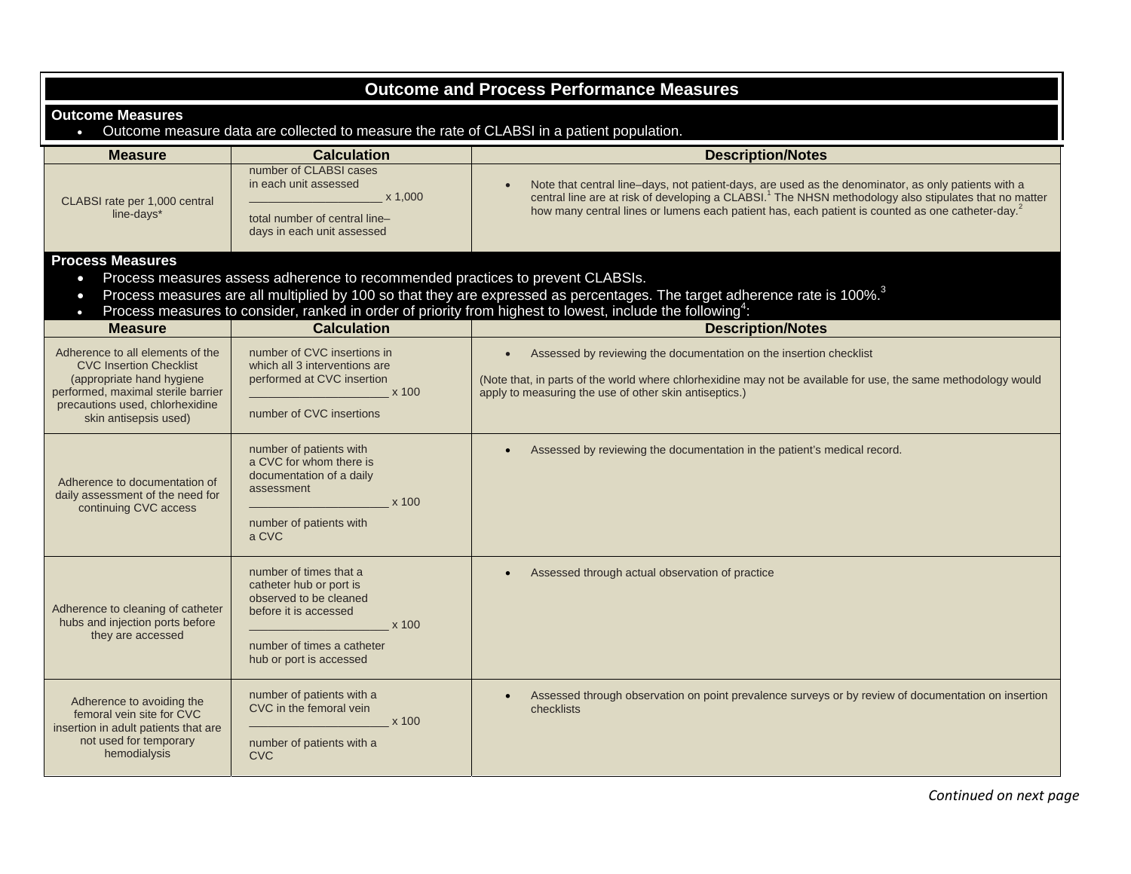| <b>Outcome and Process Performance Measures</b>                                                                                                                                                                                                                                                                                                                                                        |                                                                                                                                                                        |                                                                                                                                                                                                                                                                                                                                          |
|--------------------------------------------------------------------------------------------------------------------------------------------------------------------------------------------------------------------------------------------------------------------------------------------------------------------------------------------------------------------------------------------------------|------------------------------------------------------------------------------------------------------------------------------------------------------------------------|------------------------------------------------------------------------------------------------------------------------------------------------------------------------------------------------------------------------------------------------------------------------------------------------------------------------------------------|
| <b>Outcome Measures</b><br>Outcome measure data are collected to measure the rate of CLABSI in a patient population.                                                                                                                                                                                                                                                                                   |                                                                                                                                                                        |                                                                                                                                                                                                                                                                                                                                          |
| <b>Measure</b>                                                                                                                                                                                                                                                                                                                                                                                         | <b>Calculation</b>                                                                                                                                                     | <b>Description/Notes</b>                                                                                                                                                                                                                                                                                                                 |
| CLABSI rate per 1,000 central<br>line-days*                                                                                                                                                                                                                                                                                                                                                            | number of CLABSI cases<br>in each unit assessed<br>x 1,000<br>total number of central line-<br>days in each unit assessed                                              | Note that central line-days, not patient-days, are used as the denominator, as only patients with a<br>central line are at risk of developing a CLABSI. <sup>1</sup> The NHSN methodology also stipulates that no matter<br>how many central lines or lumens each patient has, each patient is counted as one catheter-day. <sup>2</sup> |
| <b>Process Measures</b><br>Process measures assess adherence to recommended practices to prevent CLABSIs.<br>$\bullet$<br>Process measures are all multiplied by 100 so that they are expressed as percentages. The target adherence rate is 100%. <sup>3</sup><br>$\bullet$<br>Process measures to consider, ranked in order of priority from highest to lowest, include the following <sup>4</sup> : |                                                                                                                                                                        |                                                                                                                                                                                                                                                                                                                                          |
| <b>Measure</b>                                                                                                                                                                                                                                                                                                                                                                                         | <b>Calculation</b>                                                                                                                                                     | <b>Description/Notes</b>                                                                                                                                                                                                                                                                                                                 |
| Adherence to all elements of the<br><b>CVC Insertion Checklist</b><br>(appropriate hand hygiene<br>performed, maximal sterile barrier<br>precautions used, chlorhexidine<br>skin antisepsis used)                                                                                                                                                                                                      | number of CVC insertions in<br>which all 3 interventions are<br>performed at CVC insertion<br>x 100<br>number of CVC insertions                                        | Assessed by reviewing the documentation on the insertion checklist<br>(Note that, in parts of the world where chlorhexidine may not be available for use, the same methodology would<br>apply to measuring the use of other skin antiseptics.)                                                                                           |
| Adherence to documentation of<br>daily assessment of the need for<br>continuing CVC access                                                                                                                                                                                                                                                                                                             | number of patients with<br>a CVC for whom there is<br>documentation of a daily<br>assessment<br>x 100<br>number of patients with<br>a CVC                              | Assessed by reviewing the documentation in the patient's medical record.                                                                                                                                                                                                                                                                 |
| Adherence to cleaning of catheter<br>hubs and injection ports before<br>they are accessed                                                                                                                                                                                                                                                                                                              | number of times that a<br>catheter hub or port is<br>observed to be cleaned<br>before it is accessed<br>x 100<br>number of times a catheter<br>hub or port is accessed | Assessed through actual observation of practice                                                                                                                                                                                                                                                                                          |
| Adherence to avoiding the<br>femoral vein site for CVC<br>insertion in adult patients that are<br>not used for temporary<br>hemodialysis                                                                                                                                                                                                                                                               | number of patients with a<br>CVC in the femoral vein<br>x 100<br>number of patients with a<br><b>CVC</b>                                                               | Assessed through observation on point prevalence surveys or by review of documentation on insertion<br>checklists                                                                                                                                                                                                                        |

*Continued on next page*